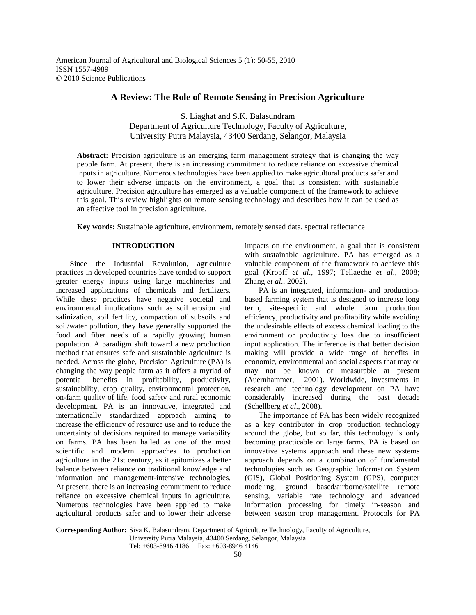American Journal of Agricultural and Biological Sciences 5 (1): 50-55, 2010 ISSN 1557-4989 © 2010 Science Publications

## **A Review: The Role of Remote Sensing in Precision Agriculture**

S. Liaghat and S.K. Balasundram Department of Agriculture Technology, Faculty of Agriculture, University Putra Malaysia, 43400 Serdang, Selangor, Malaysia

**Abstract:** Precision agriculture is an emerging farm management strategy that is changing the way people farm. At present, there is an increasing commitment to reduce reliance on excessive chemical inputs in agriculture. Numerous technologies have been applied to make agricultural products safer and to lower their adverse impacts on the environment, a goal that is consistent with sustainable agriculture. Precision agriculture has emerged as a valuable component of the framework to achieve this goal. This review highlights on remote sensing technology and describes how it can be used as an effective tool in precision agriculture.

**Key words:** Sustainable agriculture, environment, remotely sensed data, spectral reflectance

## **INTRODUCTION**

 Since the Industrial Revolution, agriculture practices in developed countries have tended to support greater energy inputs using large machineries and increased applications of chemicals and fertilizers. While these practices have negative societal and environmental implications such as soil erosion and salinization, soil fertility, compaction of subsoils and soil/water pollution, they have generally supported the food and fiber needs of a rapidly growing human population. A paradigm shift toward a new production method that ensures safe and sustainable agriculture is needed. Across the globe, Precision Agriculture (PA) is changing the way people farm as it offers a myriad of potential benefits in profitability, productivity, sustainability, crop quality, environmental protection, on-farm quality of life, food safety and rural economic development. PA is an innovative, integrated and internationally standardized approach aiming to increase the efficiency of resource use and to reduce the uncertainty of decisions required to manage variability on farms. PA has been hailed as one of the most scientific and modern approaches to production agriculture in the 21st century, as it epitomizes a better balance between reliance on traditional knowledge and information and management-intensive technologies. At present, there is an increasing commitment to reduce reliance on excessive chemical inputs in agriculture. Numerous technologies have been applied to make agricultural products safer and to lower their adverse

impacts on the environment, a goal that is consistent with sustainable agriculture. PA has emerged as a valuable component of the framework to achieve this goal (Kropff *et al*., 1997; Tellaeche *et al*., 2008; Zhang *et al*., 2002).

 PA is an integrated, information- and productionbased farming system that is designed to increase long term, site-specific and whole farm production efficiency, productivity and profitability while avoiding the undesirable effects of excess chemical loading to the environment or productivity loss due to insufficient input application. The inference is that better decision making will provide a wide range of benefits in economic, environmental and social aspects that may or may not be known or measurable at present (Auernhammer, 2001). Worldwide, investments in research and technology development on PA have considerably increased during the past decade (Schellberg *et al*., 2008).

 The importance of PA has been widely recognized as a key contributor in crop production technology around the globe, but so far, this technology is only becoming practicable on large farms. PA is based on innovative systems approach and these new systems approach depends on a combination of fundamental technologies such as Geographic Information System (GIS), Global Positioning System (GPS), computer modeling, ground based/airborne/satellite remote sensing, variable rate technology and advanced information processing for timely in-season and between season crop management. Protocols for PA

**Corresponding Author:** Siva K. Balasundram, Department of Agriculture Technology, Faculty of Agriculture, University Putra Malaysia, 43400 Serdang, Selangor, Malaysia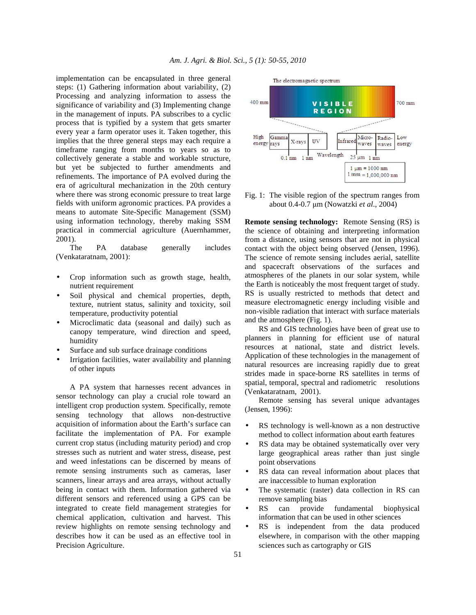implementation can be encapsulated in three general steps: (1) Gathering information about variability, (2) Processing and analyzing information to assess the significance of variability and (3) Implementing change in the management of inputs. PA subscribes to a cyclic process that is typified by a system that gets smarter every year a farm operator uses it. Taken together, this implies that the three general steps may each require a timeframe ranging from months to years so as to collectively generate a stable and workable structure, but yet be subjected to further amendments and refinements. The importance of PA evolved during the era of agricultural mechanization in the 20th century where there was strong economic pressure to treat large fields with uniform agronomic practices. PA provides a means to automate Site-Specific Management (SSM) using information technology, thereby making SSM practical in commercial agriculture (Auernhammer, 2001).

 The PA database generally includes (Venkataratnam, 2001):

- Crop information such as growth stage, health, nutrient requirement
- Soil physical and chemical properties, depth, texture, nutrient status, salinity and toxicity, soil temperature, productivity potential
- Microclimatic data (seasonal and daily) such as canopy temperature, wind direction and speed, humidity
- Surface and sub surface drainage conditions
- Irrigation facilities, water availability and planning of other inputs

 A PA system that harnesses recent advances in sensor technology can play a crucial role toward an intelligent crop production system. Specifically, remote sensing technology that allows non-destructive acquisition of information about the Earth's surface can facilitate the implementation of PA. For example current crop status (including maturity period) and crop stresses such as nutrient and water stress, disease, pest and weed infestations can be discerned by means of remote sensing instruments such as cameras, laser scanners, linear arrays and area arrays, without actually being in contact with them. Information gathered via different sensors and referenced using a GPS can be integrated to create field management strategies for chemical application, cultivation and harvest. This review highlights on remote sensing technology and describes how it can be used as an effective tool in Precision Agriculture.



Fig. 1: The visible region of the spectrum ranges from about 0.4-0.7 µm (Nowatzki *et al*., 2004)

**Remote sensing technology:** Remote Sensing (RS) is the science of obtaining and interpreting information from a distance, using sensors that are not in physical contact with the object being observed (Jensen, 1996). The science of remote sensing includes aerial, satellite and spacecraft observations of the surfaces and atmospheres of the planets in our solar system, while the Earth is noticeably the most frequent target of study. RS is usually restricted to methods that detect and measure electromagnetic energy including visible and non-visible radiation that interact with surface materials and the atmosphere (Fig. 1).

 RS and GIS technologies have been of great use to planners in planning for efficient use of natural resources at national, state and district levels. Application of these technologies in the management of natural resources are increasing rapidly due to great strides made in space-borne RS satellites in terms of spatial, temporal, spectral and radiometric resolutions (Venkataratnam, 2001).

 Remote sensing has several unique advantages (Jensen, 1996):

- RS technology is well-known as a non destructive method to collect information about earth features
- RS data may be obtained systematically over very large geographical areas rather than just single point observations
- RS data can reveal information about places that are inaccessible to human exploration
- The systematic (raster) data collection in RS can remove sampling bias
- RS can provide fundamental biophysical information that can be used in other sciences
- RS is independent from the data produced elsewhere, in comparison with the other mapping sciences such as cartography or GIS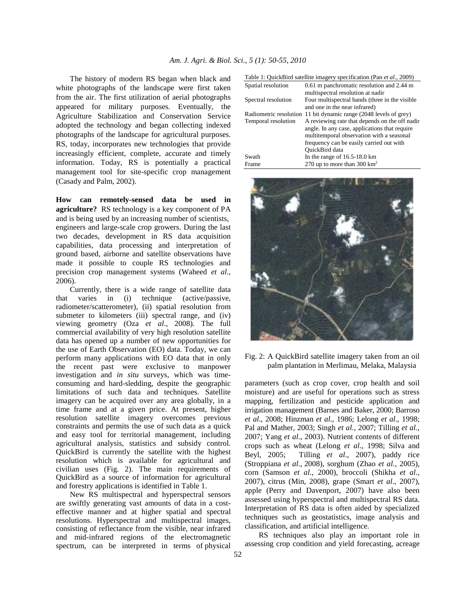The history of modern RS began when black and white photographs of the landscape were first taken from the air. The first utilization of aerial photographs appeared for military purposes. Eventually, the Agriculture Stabilization and Conservation Service adopted the technology and began collecting indexed photographs of the landscape for agricultural purposes. RS, today, incorporates new technologies that provide increasingly efficient, complete, accurate and timely information. Today, RS is potentially a practical management tool for site-specific crop management (Casady and Palm, 2002).

**How can remotely-sensed data be used in agriculture?** RS technology is a key component of PA and is being used by an increasing number of scientists, engineers and large-scale crop growers. During the last two decades, development in RS data acquisition capabilities, data processing and interpretation of ground based, airborne and satellite observations have made it possible to couple RS technologies and precision crop management systems (Waheed *et al*., 2006).

 Currently, there is a wide range of satellite data that varies in (i) technique (active/passive, radiometer/scatterometer), (ii) spatial resolution from submeter to kilometers (iii) spectral range, and (iv) viewing geometry (Oza *et al*., 2008)*.* The full commercial availability of very high resolution satellite data has opened up a number of new opportunities for the use of Earth Observation (EO) data. Today, we can perform many applications with EO data that in only the recent past were exclusive to manpower investigation and *in situ* surveys, which was timeconsuming and hard-sledding, despite the geographic limitations of such data and techniques. Satellite imagery can be acquired over any area globally, in a time frame and at a given price. At present, higher resolution satellite imagery overcomes previous constraints and permits the use of such data as a quick and easy tool for territorial management, including agricultural analysis, statistics and subsidy control. QuickBird is currently the satellite with the highest resolution which is available for agricultural and civilian uses (Fig. 2). The main requirements of QuickBird as a source of information for agricultural and forestry applications is identified in Table 1.

 New RS multispectral and hyperspectral sensors are swiftly generating vast amounts of data in a costeffective manner and at higher spatial and spectral resolutions. Hyperspectral and multispectral images, consisting of reflectance from the visible, near infrared and mid-infrared regions of the electromagnetic spectrum, can be interpreted in terms of physical

| Table 1: QuickBird satellite imagery specification (Pan <i>et al.</i> , 2009) |  |  |
|-------------------------------------------------------------------------------|--|--|
|                                                                               |  |  |

| Spatial resolution     | 0.61 m panchromatic resolution and 2.44 m<br>multispectral resolution at nadir |
|------------------------|--------------------------------------------------------------------------------|
| Spectral resolution    | Four multispectral bands (three in the visible                                 |
|                        | and one in the near infrared)                                                  |
| Radiometric resolution | 11 bit dynamic range (2048 levels of grey)                                     |
| Temporal resolution    | A reviewing rate that depends on the off nadir                                 |
|                        | angle. In any case, applications that require                                  |
|                        | multitemporal observation with a seasonal                                      |
|                        | frequency can be easily carried out with                                       |
|                        | QuickBird data                                                                 |
| Swath                  | In the range of $16.5-18.0 \text{ km}$                                         |
| Frame                  | 270 up to more than 300 $\text{km}^2$                                          |



Fig. 2: A QuickBird satellite imagery taken from an oil palm plantation in Merlimau, Melaka, Malaysia

parameters (such as crop cover, crop health and soil moisture) and are useful for operations such as stress mapping, fertilization and pesticide application and irrigation management (Barnes and Baker, 2000; Barroso *et al*., 2008; Hinzman *et al*., 1986; Lelong *et al*., 1998; Pal and Mather, 2003; Singh *et al*., 2007; Tilling *et al*., 2007; Yang *et al*., 2003). Nutrient contents of different crops such as wheat (Lelong *et al*., 1998; Silva and Beyl, 2005; Tilling *et al*., 2007), paddy rice (Stroppiana *et al*., 2008), sorghum (Zhao *et al*., 2005), corn (Samson *et al*., 2000), broccoli (Shikha *et al*., 2007), citrus (Min, 2008), grape (Smart *et al*., 2007), apple (Perry and Davenport, 2007) have also been assessed using hyperspectral and multispectral RS data. Interpretation of RS data is often aided by specialized techniques such as geostatistics, image analysis and classification, and artificial intelligence.

 RS techniques also play an important role in assessing crop condition and yield forecasting, acreage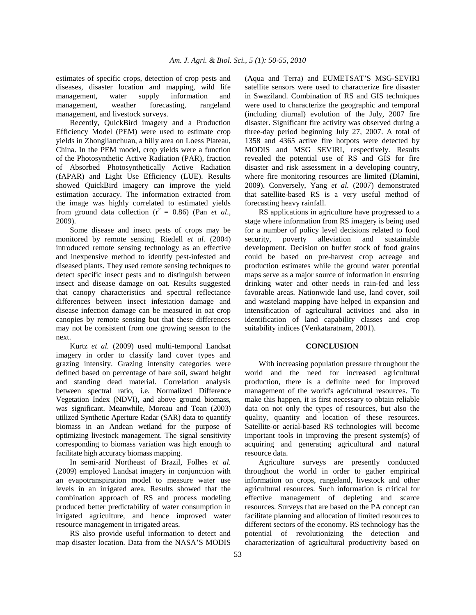estimates of specific crops, detection of crop pests and diseases, disaster location and mapping, wild life management, water supply information and management, weather forecasting, rangeland management, and livestock surveys.

 Recently, QuickBird imagery and a Production Efficiency Model (PEM) were used to estimate crop yields in Zhonglianchuan, a hilly area on Loess Plateau, China. In the PEM model, crop yields were a function of the Photosynthetic Active Radiation (PAR), fraction of Absorbed Photosynthetically Active Radiation (fAPAR) and Light Use Efficiency (LUE). Results showed QuickBird imagery can improve the yield estimation accuracy. The information extracted from the image was highly correlated to estimated yields from ground data collection  $(r^2 = 0.86)$  (Pan *et al.*, 2009).

 Some disease and insect pests of crops may be monitored by remote sensing. Riedell *et al.* (2004) introduced remote sensing technology as an effective and inexpensive method to identify pest-infested and diseased plants. They used remote sensing techniques to detect specific insect pests and to distinguish between insect and disease damage on oat. Results suggested that canopy characteristics and spectral reflectance differences between insect infestation damage and disease infection damage can be measured in oat crop canopies by remote sensing but that these differences may not be consistent from one growing season to the next.

 Kurtz *et al.* (2009) used multi-temporal Landsat imagery in order to classify land cover types and grazing intensity. Grazing intensity categories were defined based on percentage of bare soil, sward height and standing dead material. Correlation analysis between spectral ratio, i.e. Normalized Difference Vegetation Index (NDVI), and above ground biomass, was significant. Meanwhile, Moreau and Toan (2003) utilized Synthetic Aperture Radar (SAR) data to quantify biomass in an Andean wetland for the purpose of optimizing livestock management. The signal sensitivity corresponding to biomass variation was high enough to facilitate high accuracy biomass mapping.

 In semi-arid Northeast of Brazil, Folhes *et al*. (2009) employed Landsat imagery in conjunction with an evapotranspiration model to measure water use levels in an irrigated area. Results showed that the combination approach of RS and process modeling produced better predictability of water consumption in irrigated agriculture, and hence improved water resource management in irrigated areas.

 RS also provide useful information to detect and map disaster location. Data from the NASA'S MODIS (Aqua and Terra) and EUMETSAT'S MSG-SEVIRI satellite sensors were used to characterize fire disaster in Swaziland. Combination of RS and GIS techniques were used to characterize the geographic and temporal (including diurnal) evolution of the July, 2007 fire disaster. Significant fire activity was observed during a three-day period beginning July 27, 2007. A total of 1358 and 4365 active fire hotpots were detected by MODIS and MSG SEVIRI, respectively. Results revealed the potential use of RS and GIS for fire disaster and risk assessment in a developing country, where fire monitoring resources are limited (Dlamini, 2009). Conversely, Yang *et al.* (2007) demonstrated that satellite-based RS is a very useful method of forecasting heavy rainfall.

 RS applications in agriculture have progressed to a stage where information from RS imagery is being used for a number of policy level decisions related to food security, poverty alleviation and sustainable development. Decision on buffer stock of food grains could be based on pre-harvest crop acreage and production estimates while the ground water potential maps serve as a major source of information in ensuring drinking water and other needs in rain-fed and less favorable areas. Nationwide land use, land cover, soil and wasteland mapping have helped in expansion and intensification of agricultural activities and also in identification of land capability classes and crop suitability indices (Venkataratnam, 2001).

## **CONCLUSION**

 With increasing population pressure throughout the world and the need for increased agricultural production, there is a definite need for improved management of the world's agricultural resources. To make this happen, it is first necessary to obtain reliable data on not only the types of resources, but also the quality, quantity and location of these resources. Satellite-or aerial-based RS technologies will become important tools in improving the present system(s) of acquiring and generating agricultural and natural resource data.

 Agriculture surveys are presently conducted throughout the world in order to gather empirical information on crops, rangeland, livestock and other agricultural resources. Such information is critical for effective management of depleting and scarce resources. Surveys that are based on the PA concept can facilitate planning and allocation of limited resources to different sectors of the economy. RS technology has the potential of revolutionizing the detection and characterization of agricultural productivity based on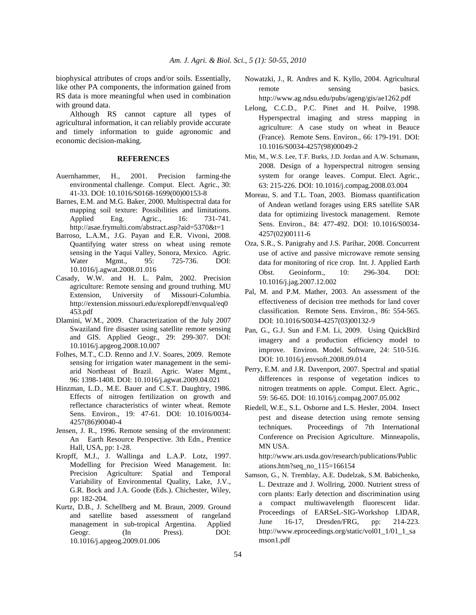biophysical attributes of crops and/or soils. Essentially, like other PA components, the information gained from RS data is more meaningful when used in combination with ground data.

 Although RS cannot capture all types of agricultural information, it can reliably provide accurate and timely information to guide agronomic and economic decision-making.

## **REFERENCES**

- Auernhammer, H., 2001. Precision farming-the environmental challenge. Comput. Elect. Agric., 30: 41-33. DOI: 10.1016/S0168-1699(00)00153-8
- Barnes, E.M. and M.G. Baker, 2000. Multispectral data for mapping soil texture: Possibilities and limitations. Applied Eng. Agric., 16: 731-741. http://asae.frymulti.com/abstract.asp?aid=5370&t=1
- Barroso, L.A.M., J.G. Payan and E.R. Vivoni, 2008. Quantifying water stress on wheat using remote sensing in the Yaqui Valley, Sonora, Mexico. Agric. Water Mgmt., 95: 725-736. DOI: 10.1016/j.agwat.2008.01.016
- Casady, W.W. and H. L. Palm, 2002. Precision agriculture: Remote sensing and ground truthing. MU Extension, University of Missouri-Columbia. http://extension.missouri.edu/explorepdf/envqual/eq0 453.pdf
- Dlamini, W.M., 2009. Characterization of the July 2007 Swaziland fire disaster using satellite remote sensing and GIS. Applied Geogr., 29: 299-307. DOI: 10.1016/j.apgeog.2008.10.007
- Folhes, M.T., C.D. Renno and J.V. Soares, 2009. Remote sensing for irrigation water management in the semiarid Northeast of Brazil. Agric. Water Mgmt., 96: 1398-1408. DOI: 10.1016/j.agwat.2009.04.021
- Hinzman, L.D., M.E. Bauer and C.S.T. Daughtry, 1986. Effects of nitrogen fertilization on growth and reflectance characteristics of winter wheat. Remote Sens. Environ., 19: 47-61. DOI: 10.1016/0034- 4257(86)90040-4
- Jensen, J. R., 1996. Remote sensing of the environment: An Earth Resource Perspective. 3th Edn., Prentice Hall, USA, pp: 1-28.
- Kropff, M.J., J. Wallinga and L.A.P. Lotz, 1997. Modelling for Precision Weed Management. In: Precision Agriculture: Spatial and Temporal Variability of Environmental Quality, Lake, J.V., G.R. Bock and J.A. Goode (Eds.). Chichester, Wiley, pp: 182-204.
- Kurtz, D.B., J. Schellberg and M. Braun, 2009. Ground and satellite based assessment of rangeland management in sub-tropical Argentina. Applied Geogr. (In Press). DOI: 10.1016/j.apgeog.2009.01.006
- Nowatzki, J., R. Andres and K. Kyllo, 2004. Agricultural remote sensing basics. http://www.ag.ndsu.edu/pubs/ageng/gis/ae1262.pdf
- Lelong, C.C.D., P.C. Pinet and H. Poilve, 1998. Hyperspectral imaging and stress mapping in agriculture: A case study on wheat in Beauce (France). Remote Sens. Environ., 66: 179-191. DOI: 10.1016/S0034-4257(98)00049-2
- Min, M., W.S. Lee, T.F. Burks, J.D. Jordan and A.W. Schumann, 2008. Design of a hyperspectral nitrogen sensing system for orange leaves. Comput. Elect. Agric., 63: 215-226. DOI: 10.1016/j.compag.2008.03.004
- Moreau, S. and T.L. Toan, 2003. Biomass quantification of Andean wetland forages using ERS satellite SAR data for optimizing livestock management. Remote Sens. Environ., 84: 477-492. DOI: 10.1016/S0034- 4257(02)00111-6
- Oza, S.R., S. Panigrahy and J.S. Parihar, 2008. Concurrent use of active and passive microwave remote sensing data for monitoring of rice crop. Int. J. Applied Earth Obst. Geoinform., 10: 296-304. DOI: 10.1016/j.jag.2007.12.002
- Pal, M. and P.M. Mather, 2003. An assessment of the effectiveness of decision tree methods for land cover classification. Remote Sens. Environ., 86: 554-565. DOI: 10.1016/S0034-4257(03)00132-9
- Pan, G., G.J. Sun and F.M. Li, 2009. Using QuickBird imagery and a production efficiency model to improve. Environ. Model. Software, 24: 510-516. DOI: 10.1016/j.envsoft.2008.09.014
- Perry, E.M. and J.R. Davenport, 2007. Spectral and spatial differences in response of vegetation indices to nitrogen treatments on apple. Comput. Elect. Agric., 59: 56-65. DOI: 10.1016/j.compag.2007.05.002
- Riedell, W.E., S.L. Osborne and L.S. Hesler, 2004. Insect pest and disease detection using remote sensing techniques. Proceedings of 7th International Conference on Precision Agriculture. Minneapolis, MN USA.

 http://www.ars.usda.gov/research/publications/Public ations.htm?seq\_no\_115=166154

Samson, G., N. Tremblay, A.E. Dudelzak, S.M. Babichenko, L. Dextraze and J. Wollring, 2000. Nutrient stress of corn plants: Early detection and discrimination using a compact multiwavelength fluorescent lidar. Proceedings of EARSeL-SIG-Workshop LIDAR, June 16-17, Dresden/FRG, pp: 214-223. http://www.eproceedings.org/static/vol01\_1/01\_1\_sa mson1.pdf